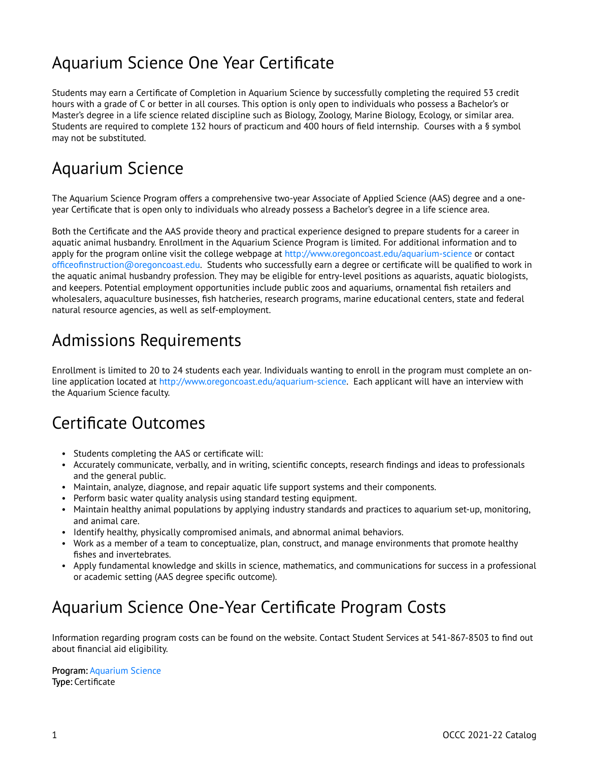### Aquarium Science One Year Certificate

Students may earn a Certificate of Completion in Aquarium Science by successfully completing the required 53 credit hours with a grade of C or better in all courses. This option is only open to individuals who possess a Bachelor's or Master's degree in a life science related discipline such as Biology, Zoology, Marine Biology, Ecology, or similar area. Students are required to complete 132 hours of practicum and 400 hours of field internship. Courses with a § symbol may not be substituted.

### Aquarium Science

The Aquarium Science Program offers a comprehensive two-year Associate of Applied Science (AAS) degree and a oneyear Certificate that is open only to individuals who already possess a Bachelor's degree in a life science area.

Both the Certificate and the AAS provide theory and practical experience designed to prepare students for a career in aquatic animal husbandry. Enrollment in the Aquarium Science Program is limited. For additional information and to apply for the program online visit the college webpage at<http://www.oregoncoast.edu/aquarium-science> or contact [officeofinstruction@oregoncoast.edu](mailto:officeofinstruction@oregoncoast.edu). Students who successfully earn a degree or certificate will be qualified to work in the aquatic animal husbandry profession. They may be eligible for entry-level positions as aquarists, aquatic biologists, and keepers. Potential employment opportunities include public zoos and aquariums, ornamental fish retailers and wholesalers, aquaculture businesses, fish hatcheries, research programs, marine educational centers, state and federal natural resource agencies, as well as self-employment.

#### Admissions Requirements

Enrollment is limited to 20 to 24 students each year. Individuals wanting to enroll in the program must complete an online application located at <http://www.oregoncoast.edu/aquarium-science>. Each applicant will have an interview with the Aquarium Science faculty.

#### Certificate Outcomes

- Students completing the AAS or certificate will:
- Accurately communicate, verbally, and in writing, scientific concepts, research findings and ideas to professionals and the general public.
- Maintain, analyze, diagnose, and repair aquatic life support systems and their components.
- Perform basic water quality analysis using standard testing equipment.
- Maintain healthy animal populations by applying industry standards and practices to aquarium set-up, monitoring, and animal care.
- Identify healthy, physically compromised animals, and abnormal animal behaviors.
- Work as a member of a team to conceptualize, plan, construct, and manage environments that promote healthy fishes and invertebrates.
- Apply fundamental knowledge and skills in science, mathematics, and communications for success in a professional or academic setting (AAS degree specific outcome).

### Aquarium Science One-Year Certificate Program Costs

Information regarding program costs can be found on the website. Contact Student Services at 541-867-8503 to find out about financial aid eligibility.

Program: [Aquarium Science](https://live-occc21.pantheonsite.io/aquarium-science)  Type: Certificate